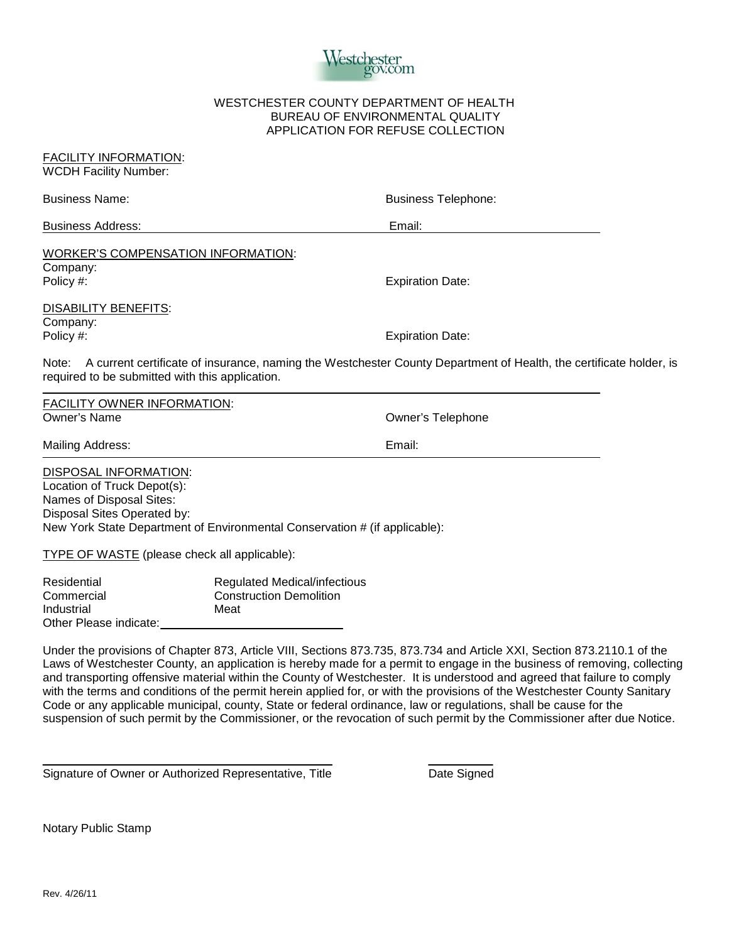

## WESTCHESTER COUNTY DEPARTMENT OF HEALTH BUREAU OF ENVIRONMENTAL QUALITY APPLICATION FOR REFUSE COLLECTION

| <b>FACILITY INFORMATION:</b><br><b>WCDH Facility Number:</b>                                                                  |                                                                                                                     |
|-------------------------------------------------------------------------------------------------------------------------------|---------------------------------------------------------------------------------------------------------------------|
| <b>Business Name:</b>                                                                                                         | <b>Business Telephone:</b>                                                                                          |
| <b>Business Address:</b>                                                                                                      | Email:                                                                                                              |
| <b>WORKER'S COMPENSATION INFORMATION:</b><br>Company:<br>Policy #:                                                            | <b>Expiration Date:</b>                                                                                             |
| <b>DISABILITY BENEFITS:</b><br>Company:<br>Policy #:                                                                          | <b>Expiration Date:</b>                                                                                             |
| Note:<br>required to be submitted with this application.                                                                      | A current certificate of insurance, naming the Westchester County Department of Health, the certificate holder, is  |
| <b>FACILITY OWNER INFORMATION:</b><br>$\bigcap_{x \in \mathbb{R}} \mathbb{R}^n$ and $\bigcap_{x \in \mathbb{R}} \mathbb{R}^n$ | $\bigcap_{x\in\mathbb{R}}$ and $\bigcap_{x\in\mathbb{R}}$ $\bigcap_{x\in\mathbb{R}}$ and $\bigcap_{x\in\mathbb{R}}$ |

Owner's Name **Owner's Name Owner's Telephone** Mailing Address: **Email: Email: Email: Email: Email: Email: Email: Email: Email: Email: Email: Email: Email: Email: Email: Email: Email: Email: Email: Email: Email: Email: Email:** DISPOSAL INFORMATION: Location of Truck Depot(s):

Names of Disposal Sites: Disposal Sites Operated by: New York State Department of Environmental Conservation # (if applicable):

TYPE OF WASTE (please check all applicable):

| Residential            | <b>Regulated Medical/infectious</b> |
|------------------------|-------------------------------------|
| Commercial             | <b>Construction Demolition</b>      |
| Industrial             | Meat                                |
| Other Please indicate: |                                     |

Under the provisions of Chapter 873, Article VIII, Sections 873.735, 873.734 and Article XXI, Section 873.2110.1 of the Laws of Westchester County, an application is hereby made for a permit to engage in the business of removing, collecting and transporting offensive material within the County of Westchester. It is understood and agreed that failure to comply with the terms and conditions of the permit herein applied for, or with the provisions of the Westchester County Sanitary Code or any applicable municipal, county, State or federal ordinance, law or regulations, shall be cause for the suspension of such permit by the Commissioner, or the revocation of such permit by the Commissioner after due Notice.

Signature of Owner or Authorized Representative, Title **Date Signed** Date Signed

Notary Public Stamp